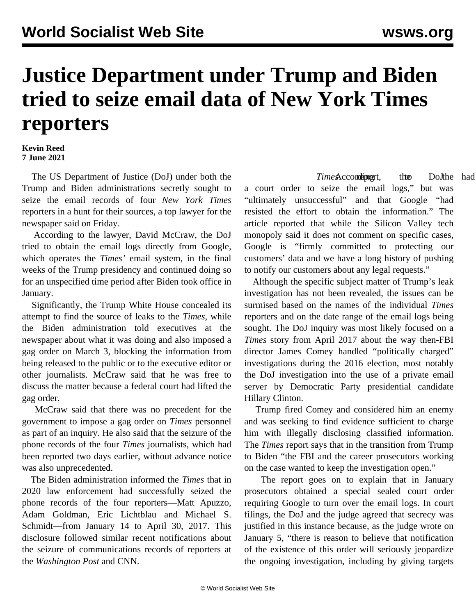## **Justice Department under Trump and Biden tried to seize email data of New York Times reporters**

## **Kevin Reed 7 June 2021**

 The US Department of Justice (DoJ) under both the Trump and Biden administrations secretly sought to seize the email records of four *New York Times* reporters in a hunt for their sources, a top lawyer for the newspaper said on Friday.

 According to the lawyer, David McCraw, the DoJ tried to obtain the email logs directly from Google, which operates the *Times'* email system, in the final weeks of the Trump presidency and continued doing so for an unspecified time period after Biden took office in January.

 Significantly, the Trump White House concealed its attempt to find the source of leaks to the *Times*, while the Biden administration told executives at the newspaper about what it was doing and also imposed a gag order on March 3, blocking the information from being released to the public or to the executive editor or other journalists. McCraw said that he was free to discuss the matter because a federal court had lifted the gag order.

 McCraw said that there was no precedent for the government to impose a gag order on *Times* personnel as part of an inquiry. He also said that the seizure of the phone records of the four *Times* journalists, which had been reported two days earlier, without advance notice was also unprecedented.

 The Biden administration informed the *Times* that in 2020 law enforcement had successfully seized the phone records of the four reporters—Matt Apuzzo, Adam Goldman, Eric Lichtblau and Michael S. Schmidt—from January 14 to April 30, 2017. This disclosure followed similar recent notifications about the seizure of communications records of reporters at the *Washington Post* and CNN.

*Time* Acconding t, the DoJthe had a court order to seize the email logs," but was "ultimately unsuccessful" and that Google "had resisted the effort to obtain the information." The article reported that while the Silicon Valley tech monopoly said it does not comment on specific cases, Google is "firmly committed to protecting our customers' data and we have a long history of pushing to notify our customers about any legal requests."

 Although the specific subject matter of Trump's leak investigation has not been revealed, the issues can be surmised based on the names of the individual *Times* reporters and on the date range of the email logs being sought. The DoJ inquiry was most likely focused on a *Times* story from April 2017 about the way then-FBI director James Comey handled "politically charged" investigations during the 2016 election, most notably the DoJ investigation into the use of a private email server by Democratic Party presidential candidate Hillary Clinton.

 Trump fired Comey and considered him an enemy and was seeking to find evidence sufficient to charge him with illegally disclosing classified information. The *Times* report says that in the transition from Trump to Biden "the FBI and the career prosecutors working on the case wanted to keep the investigation open."

 The report goes on to explain that in January prosecutors obtained a special sealed court order requiring Google to turn over the email logs. In court filings, the DoJ and the judge agreed that secrecy was justified in this instance because, as the judge wrote on January 5, "there is reason to believe that notification of the existence of this order will seriously jeopardize the ongoing investigation, including by giving targets